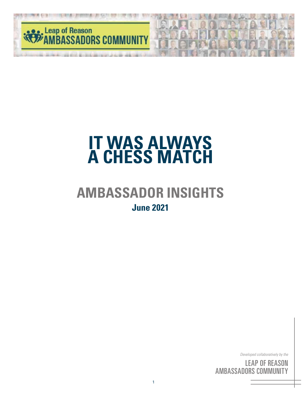

## **AMBASSADOR INSIGHTS June 2021**

*Developed collaboratively by the*

<sup>c by</sup><br>S( <sup>the</sup><br>IN<br>'Y ' <sup>by</sup><br>SC<br>III <sub>the</sub><br>DN<br>FY LEAP OF REASON AMBASSADORS COMMUNITY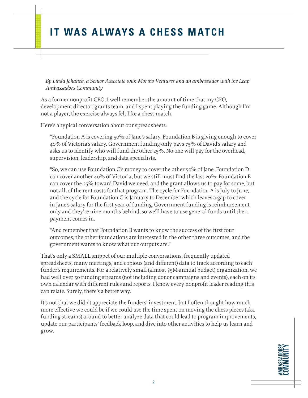*By Linda Johanek, a Senior Associate with Morino Ventures and an ambassador with the Leap Ambassadors Community*

As a former nonprofit CEO, I well remember the amount of time that my CFO, development director, grants team, and I spent playing the funding game. Although I'm not a player, the exercise always felt like a chess match.

Here's a typical conversation about our spreadsheets:

"Foundation A is covering 50% of Jane's salary. Foundation B is giving enough to cover 40% of Victoria's salary. Government funding only pays 75% of David's salary and asks us to identify who will fund the other 25%. No one will pay for the overhead, supervision, leadership, and data specialists.

"So, we can use Foundation C's money to cover the other 50% of Jane. Foundation D can cover another 40% of Victoria, but we still must find the last 20%. Foundation E can cover the 25% toward David we need, and the grant allows us to pay for some, but not all, of the rent costs for that program. The cycle for Foundation A is July to June, and the cycle for Foundation C is January to December which leaves a gap to cover in Jane's salary for the first year of funding. Government funding is reimbursement only and they're nine months behind, so we'll have to use general funds until their payment comes in.

"And remember that Foundation B wants to know the success of the first four outcomes, the other foundations are interested in the other three outcomes, and the government wants to know what our outputs are."

That's only a SMALL snippet of our multiple conversations, frequently updated spreadsheets, many meetings, and copious (and different) data to track according to each funder's requirements. For a relatively small (almost \$5M annual budget) organization, we had well over 50 funding streams (not including donor campaigns and events), each on its own calendar with different rules and reports. I know every nonprofit leader reading this can relate. Surely, there's a better way.

It's not that we didn't appreciate the funders' investment, but I often thought how much more effective we could be if we could use the time spent on moving the chess pieces (aka funding streams) around to better analyze data that could lead to program improvements, update our participants' feedback loop, and dive into other activities to help us learn and grow.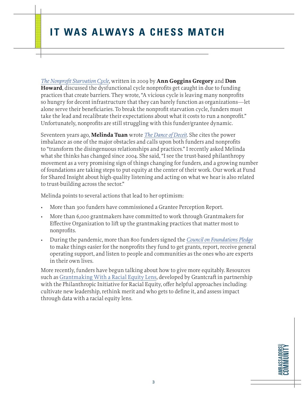*The Nonprofit Starvation Cycle*, written in 2009 by **Ann Goggins Gregory** and **Don Howard**, discussed the dysfunctional cycle nonprofits get caught in due to funding practices that create barriers. They wrote, "A vicious cycle is leaving many nonprofits so hungry for decent infrastructure that they can barely function as organizations—let alone serve their beneficiaries. To break the nonprofit starvation cycle, funders must take the lead and recalibrate their expectations about what it costs to run a nonprofit." Unfortunately, nonprofits are still struggling with this funder/grantee dynamic.

Seventeen years ago, **Melinda Tuan** wrote *The Dance of Deceit*. She cites the power imbalance as one of the major obstacles and calls upon both funders and nonprofits to "transform the disingenuous relationships and practices." I recently asked Melinda what she thinks has changed since 2004. She said, "I see the trust-based philanthropy movement as a very promising sign of things changing for funders, and a growing number of foundations are taking steps to put equity at the center of their work. Our work at Fund for Shared Insight about high-quality listening and acting on what we hear is also related to trust-building across the sector."

Melinda points to several actions that lead to her optimism:

- More than 300 funders have commissioned a Grantee Perception Report.
- More than 6,000 grantmakers have committed to work through Grantmakers for Effective Organization to lift up the grantmaking practices that matter most to nonprofits.
- During the pandemic, more than 800 funders signed the *Council on Foundations Pledge* to make things easier for the nonprofits they fund to get grants, report, receive general operating support, and listen to people and communities as the ones who are experts in their own lives.

More recently, funders have begun talking about how to give more equitably. Resources such as Grantmaking With a Racial Equity Lens, developed by Grantcraft in partnership with the Philanthropic Initiative for Racial Equity, offer helpful approaches including: cultivate new leadership, rethink merit and who gets to define it, and assess impact through data with a racial equity lens.

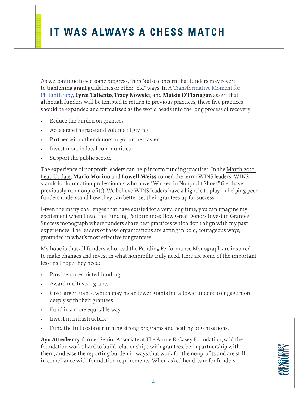As we continue to see some progress, there's also concern that funders may revert to tightening grant guidelines or other "old" ways. In A Transformative Moment for Philanthropy, **Lynn Taliento**, **Tracy Nowski**, and **Maisie O'Flanagan** assert that although funders will be tempted to return to previous practices, these five practices should be expanded and formalized as the world heads into the long process of recovery:

- Reduce the burden on grantees
- Accelerate the pace and volume of giving
- Partner with other donors to go further faster
- Invest more in local communities
- Support the public sector.

The experience of nonprofit leaders can help inform funding practices. In the March 2021 Leap Update, **Mario Morino** and **Lowell Weiss** coined the term: WINS leaders. WINS stands for foundation professionals who have "Walked in Nonprofit Shoes" (i.e., have previously run nonprofits). We believe WINS leaders have a big role to play in helping peer funders understand how they can better set their grantees up for success.

Given the many challenges that have existed for a very long time, you can imagine my excitement when I read the Funding Performance: How Great Donors Invest in Grantee Success monograph where funders share best practices which don't align with my past experiences. The leaders of these organizations are acting in bold, courageous ways, grounded in what's most effective for grantees.

My hope is that all funders who read the Funding Performance Monograph are inspired to make changes and invest in what nonprofits truly need. Here are some of the important lessons I hope they heed:

- Provide unrestricted funding
- Award multi-year grants
- Give larger grants, which may mean fewer grants but allows funders to engage more deeply with their grantees
- Fund in a more equitable way
- Invest in infrastructure
- Fund the full costs of running strong programs and healthy organizations.

**Ayo Atterberry**, former Senior Associate at The Annie E. Casey Foundation, said the foundation works hard to build relationships with grantees, be in partnership with them, and ease the reporting burden in ways that work for the nonprofits and are still in compliance with foundation requirements. When asked her dream for funders

**AMBASSADORS COMMUNITY AMBASSADORS** COMMUNITY

4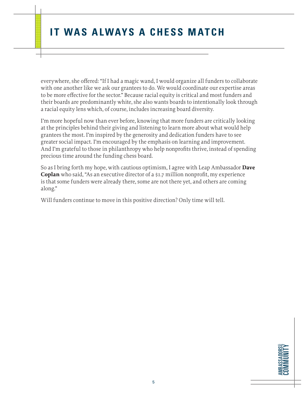everywhere, she offered: "If I had a magic wand, I would organize all funders to collaborate with one another like we ask our grantees to do. We would coordinate our expertise areas to be more effective for the sector." Because racial equity is critical and most funders and their boards are predominantly white, she also wants boards to intentionally look through a racial equity lens which, of course, includes increasing board diversity.

I'm more hopeful now than ever before, knowing that more funders are critically looking at the principles behind their giving and listening to learn more about what would help grantees the most. I'm inspired by the generosity and dedication funders have to see greater social impact. I'm encouraged by the emphasis on learning and improvement. And I'm grateful to those in philanthropy who help nonprofits thrive, instead of spending precious time around the funding chess board.

So as I bring forth my hope, with cautious optimism, I agree with Leap Ambassador **Dave Coplan** who said, "As an executive director of a \$1.7 million nonprofit, my experience is that some funders were already there, some are not there yet, and others are coming along."

Will funders continue to move in this positive direction? Only time will tell.